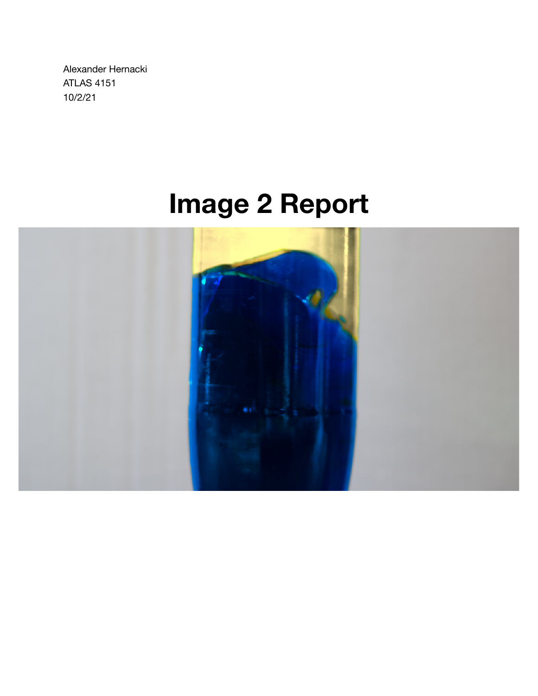Alexander Hernacki ATLAS 4151 10/2/21

# **Image 2 Report**

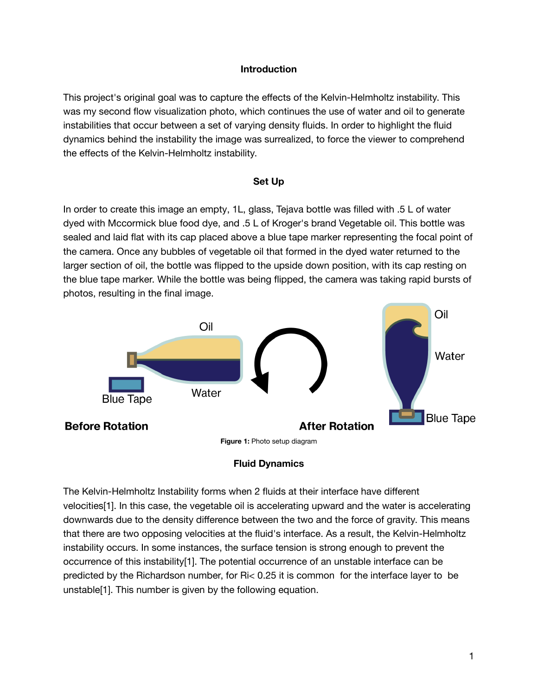## **Introduction**

This project's original goal was to capture the effects of the Kelvin-Helmholtz instability. This was my second flow visualization photo, which continues the use of water and oil to generate instabilities that occur between a set of varying density fluids. In order to highlight the fluid dynamics behind the instability the image was surrealized, to force the viewer to comprehend the effects of the Kelvin-Helmholtz instability.

#### **Set Up**

In order to create this image an empty, 1L, glass, Tejava bottle was filled with .5 L of water dyed with Mccormick blue food dye, and .5 L of Kroger's brand Vegetable oil. This bottle was sealed and laid flat with its cap placed above a blue tape marker representing the focal point of the camera. Once any bubbles of vegetable oil that formed in the dyed water returned to the larger section of oil, the bottle was flipped to the upside down position, with its cap resting on the blue tape marker. While the bottle was being flipped, the camera was taking rapid bursts of photos, resulting in the final image.



## **Fluid Dynamics**

The Kelvin-Helmholtz Instability forms when 2 fluids at their interface have different velocities[1]. In this case, the vegetable oil is accelerating upward and the water is accelerating downwards due to the density difference between the two and the force of gravity. This means that there are two opposing velocities at the fluid's interface. As a result, the Kelvin-Helmholtz instability occurs. In some instances, the surface tension is strong enough to prevent the occurrence of this instability[1]. The potential occurrence of an unstable interface can be predicted by the Richardson number, for Ri< 0.25 it is common for the interface layer to be unstable[1]. This number is given by the following equation.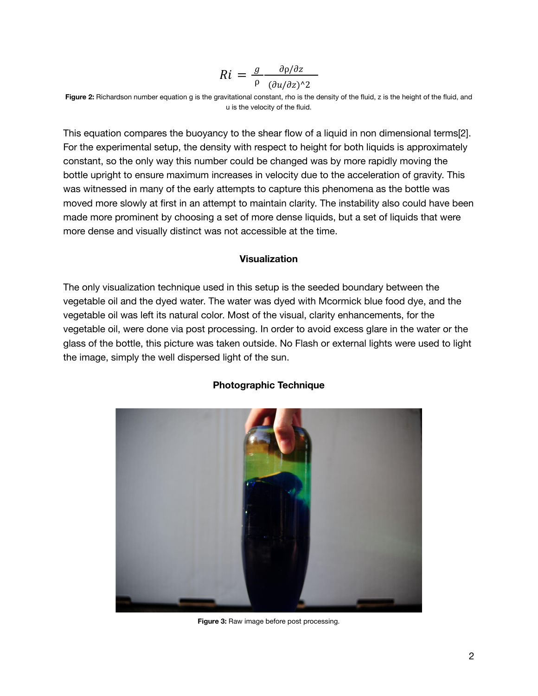$$
Ri = \frac{g}{\rho} \frac{\partial \rho/\partial z}{(\partial u/\partial z)^{2}}
$$

**Figure 2:** Richardson number equation g is the gravitational constant, rho is the density of the fluid, z is the height of the fluid, and u is the velocity of the fluid.

This equation compares the buoyancy to the shear flow of a liquid in non dimensional terms[2]. For the experimental setup, the density with respect to height for both liquids is approximately constant, so the only way this number could be changed was by more rapidly moving the bottle upright to ensure maximum increases in velocity due to the acceleration of gravity. This was witnessed in many of the early attempts to capture this phenomena as the bottle was moved more slowly at first in an attempt to maintain clarity. The instability also could have been made more prominent by choosing a set of more dense liquids, but a set of liquids that were more dense and visually distinct was not accessible at the time.

#### **Visualization**

The only visualization technique used in this setup is the seeded boundary between the vegetable oil and the dyed water. The water was dyed with Mcormick blue food dye, and the vegetable oil was left its natural color. Most of the visual, clarity enhancements, for the vegetable oil, were done via post processing. In order to avoid excess glare in the water or the glass of the bottle, this picture was taken outside. No Flash or external lights were used to light the image, simply the well dispersed light of the sun.



## **Photographic Technique**

**Figure 3:** Raw image before post processing.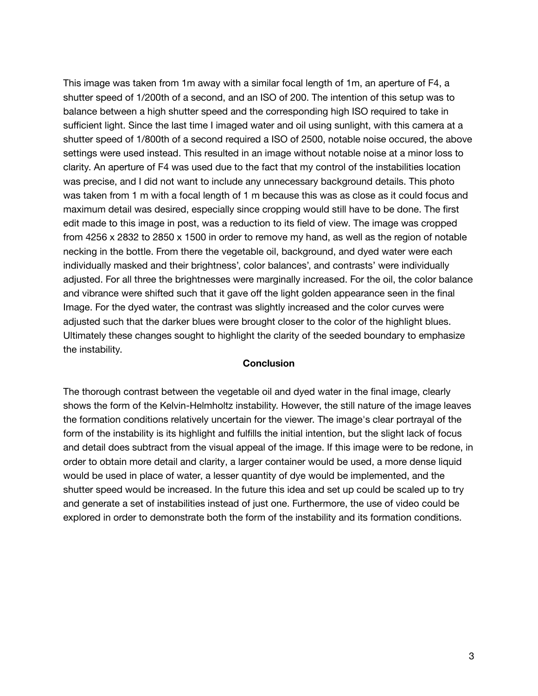This image was taken from 1m away with a similar focal length of 1m, an aperture of F4, a shutter speed of 1/200th of a second, and an ISO of 200. The intention of this setup was to balance between a high shutter speed and the corresponding high ISO required to take in sufficient light. Since the last time I imaged water and oil using sunlight, with this camera at a shutter speed of 1/800th of a second required a ISO of 2500, notable noise occured, the above settings were used instead. This resulted in an image without notable noise at a minor loss to clarity. An aperture of F4 was used due to the fact that my control of the instabilities location was precise, and I did not want to include any unnecessary background details. This photo was taken from 1 m with a focal length of 1 m because this was as close as it could focus and maximum detail was desired, especially since cropping would still have to be done. The first edit made to this image in post, was a reduction to its field of view. The image was cropped from 4256 x 2832 to 2850 x 1500 in order to remove my hand, as well as the region of notable necking in the bottle. From there the vegetable oil, background, and dyed water were each individually masked and their brightness', color balances', and contrasts' were individually adjusted. For all three the brightnesses were marginally increased. For the oil, the color balance and vibrance were shifted such that it gave off the light golden appearance seen in the final Image. For the dyed water, the contrast was slightly increased and the color curves were adjusted such that the darker blues were brought closer to the color of the highlight blues. Ultimately these changes sought to highlight the clarity of the seeded boundary to emphasize the instability.

#### **Conclusion**

The thorough contrast between the vegetable oil and dyed water in the final image, clearly shows the form of the Kelvin-Helmholtz instability. However, the still nature of the image leaves the formation conditions relatively uncertain for the viewer. The image's clear portrayal of the form of the instability is its highlight and fulfills the initial intention, but the slight lack of focus and detail does subtract from the visual appeal of the image. If this image were to be redone, in order to obtain more detail and clarity, a larger container would be used, a more dense liquid would be used in place of water, a lesser quantity of dye would be implemented, and the shutter speed would be increased. In the future this idea and set up could be scaled up to try and generate a set of instabilities instead of just one. Furthermore, the use of video could be explored in order to demonstrate both the form of the instability and its formation conditions.